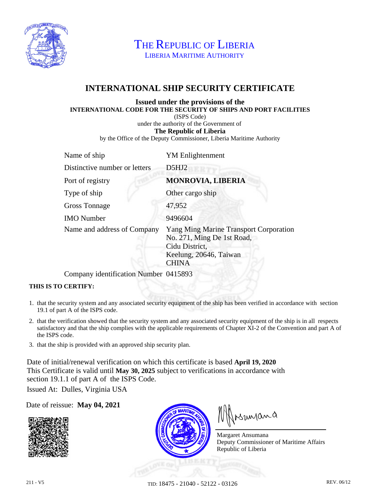

THE REPUBLIC OF LIBERIA LIBERIA MARITIME AUTHORITY

## **INTERNATIONAL SHIP SECURITY CERTIFICATE**

## **Issued under the provisions of the INTERNATIONAL CODE FOR THE SECURITY OF SHIPS AND PORT FACILITIES**

(ISPS Code)

under the authority of the Government of

**The Republic of Liberia**

by the Office of the Deputy Commissioner, Liberia Maritime Authority

| Name of ship                  | <b>YM</b> Enlightenment                                                                                                                 |
|-------------------------------|-----------------------------------------------------------------------------------------------------------------------------------------|
| Distinctive number or letters | D5HJ2                                                                                                                                   |
| Port of registry              | <b>MONROVIA, LIBERIA</b>                                                                                                                |
| Type of ship                  | Other cargo ship                                                                                                                        |
| <b>Gross Tonnage</b>          | 47,952                                                                                                                                  |
| <b>IMO</b> Number             | 9496604                                                                                                                                 |
| Name and address of Company   | <b>Yang Ming Marine Transport Corporation</b><br>No. 271, Ming De 1st Road,<br>Cidu District,<br>Keelung, 20646, Taiwan<br><b>CHINA</b> |

Company identification Number 0415893

## **THIS IS TO CERTIFY:**

- 1. that the security system and any associated security equipment of the ship has been verified in accordance with section 19.1 of part A of the ISPS code.
- 2. that the verification showed that the security system and any associated security equipment of the ship is in all respects satisfactory and that the ship complies with the applicable requirements of Chapter XI-2 of the Convention and part A of the ISPS code.
- 3. that the ship is provided with an approved ship security plan.

Date of initial/renewal verification on which this certificate is based **April 19, 2020** This Certificate is valid until **May 30, 2025** subject to verifications in accordance with section 19.1.1 of part A of the ISPS Code.

Issued At: Dulles, Virginia USA

Date of reissue: **May 04, 2021**





Muyang

Margaret Ansumana Deputy Commissioner of Maritime Affairs Republic of Liberia